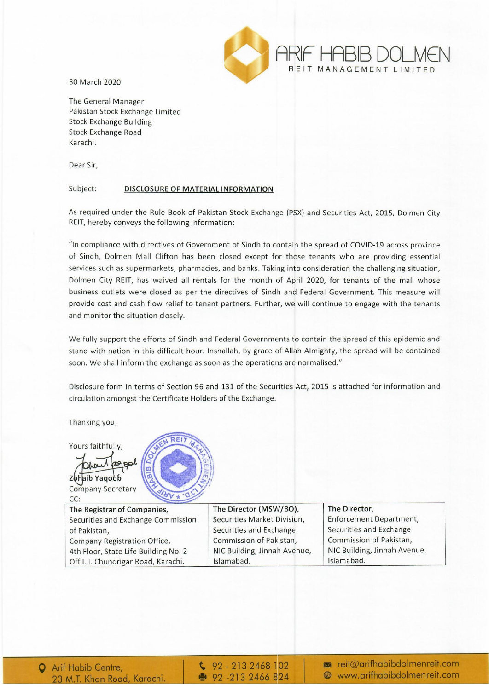

30 March 2020

The General Manager Pakistan Stock Exchange Limited Stock Exchange Building Stock Exchange Road Karachi.

Dear Sir,

## Subject: DISCLOSURE OF MATERIAL INFORMATION

As required under the Rule Book of Pakistan Stock Exchange (PSX) and Securities Act, 2015, Dolmen City REIT, hereby conveys the following information:

"In compliance with directives of Government of Sindh to contain the spread of COVID-19 across province of Sindh, Dolmen Mall Clifton has been closed except for those tenants who are providing essential services such as supermarkets, pharmacies, and banks. Taking into consideration the challenging situation, Dolmen City REIT, has waived all rentals for the month of April 2020, for tenants of the mall whose business outlets were closed as per the directives of Sindh and Federal Government. This measure will provide cost and cash flow relief to tenant partners. Further, we will continue to engage with the tenants and monitor the situation closely.

We fully support the efforts of Sindh and Federal Governments to contain the spread of this epidemic and stand with nation in this difficult hour. Inshallah, by grace of Allah Almighty, the spread will be contained soon. We shall inform the exchange as soon as the operations are normalised."

Disclosure form in terms of Section 96 and 131 of the Securities Act, 2015 is attached for information and circulation amongst the Certificate Holders of the Exchange.

Thanking you,

Yours faithfully,

Zohaib Yagoob Company Secretary CC:

The Registrar of Companies, Securities and Exchange Commission of Pakistan, Company Registration Office, 4th Floor, State Life Building No.2 Off I. I. Chundrigar Road, Karachi.

The Director (MSW/BOj, Securities Market Division, Securities and Exchange Commission of Pakistan, NIC Building, Jinnah Avenue, Islamabad.

The Director, Enforcement Department, Securities and Exchange Commission of Pakistan, NIC Building, Jinnah Avenue, Islamabad.

 $\frac{6}{2}$  92 - 213 2468 102 ● 92 -213 2466 824